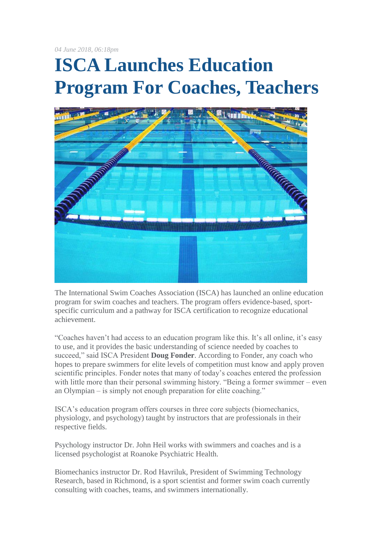*04 June 2018, 06:18pm*

## **ISCA Launches Education Program For Coaches, Teachers**



The International Swim Coaches Association (ISCA) has launched an online education program for swim coaches and teachers. The program offers evidence-based, sportspecific curriculum and a pathway for ISCA certification to recognize educational achievement.

"Coaches haven't had access to an education program like this. It's all online, it's easy to use, and it provides the basic understanding of science needed by coaches to succeed," said ISCA President **Doug Fonder**. According to Fonder, any coach who hopes to prepare swimmers for elite levels of competition must know and apply proven scientific principles. Fonder notes that many of today's coaches entered the profession with little more than their personal swimming history. "Being a former swimmer – even an Olympian – is simply not enough preparation for elite coaching."

ISCA's education program offers courses in three core subjects (biomechanics, physiology, and psychology) taught by instructors that are professionals in their respective fields.

Psychology instructor Dr. John Heil works with swimmers and coaches and is a licensed psychologist at Roanoke Psychiatric Health.

Biomechanics instructor Dr. Rod Havriluk, President of Swimming Technology Research, based in Richmond, is a sport scientist and former swim coach currently consulting with coaches, teams, and swimmers internationally.